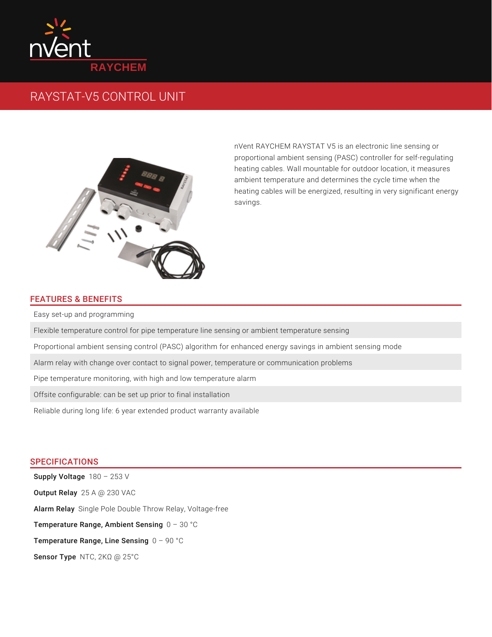

## RAYSTAT-V5 CONTROL UNIT



nVent RAYCHEM RAYSTAT V5 is an electronic line sensing or proportional ambient sensing (PASC) controller for self-regulating heating cables. Wall mountable for outdoor location, it measures ambient temperature and determines the cycle time when the heating cables will be energized, resulting in very significant energy savings.

## FEATURES & BENEFITS

Easy set-up and programming

Flexible temperature control for pipe temperature line sensing or ambient temperature sensing

Proportional ambient sensing control (PASC) algorithm for enhanced energy savings in ambient sensing mode

Alarm relay with change over contact to signal power, temperature or communication problems

Pipe temperature monitoring, with high and low temperature alarm

Offsite configurable: can be set up prior to final installation

Reliable during long life: 6 year extended product warranty available

## SPECIFICATIONS

 $\operatorname{\mathsf{Supply}}$  Voltage  $~180$  –  $253$  V **Output Relay** 25 A @ 230 VAC **Alarm Relay** Single Pole Double Throw Relay, Voltage-free Temperature Range, Ambient Sensing  $0$  – 30 °C Temperature Range, Line Sensing  $0$  – 90 °C Sensor Type NTC, 2KΩ @ 25°C